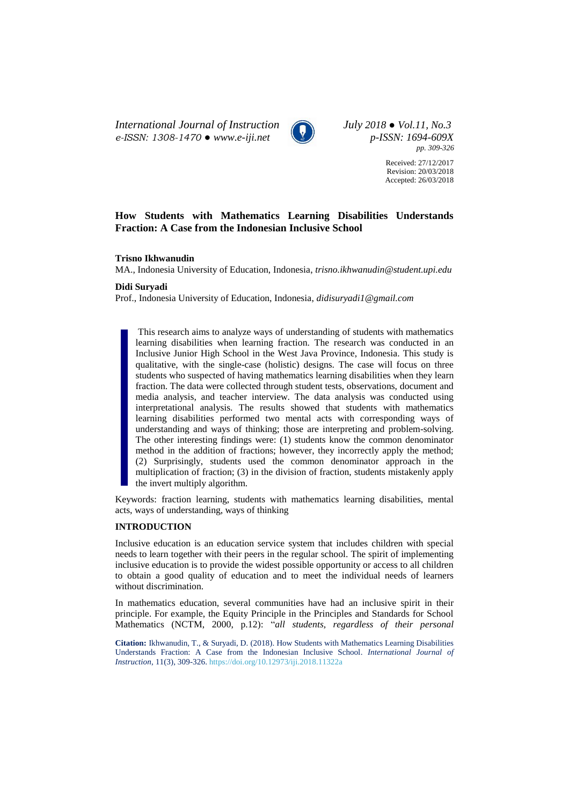*International Journal of Instruction July 2018 ● Vol.11, No.3 e-ISSN: 1308-1470 ● [www.e-iji.net](http://www.e-iji.net/) p-ISSN: 1694-609X*



*pp. 309-326*

Received: 27/12/2017 Revision: 20/03/2018 Accepted: 26/03/2018

# **How Students with Mathematics Learning Disabilities Understands Fraction: A Case from the Indonesian Inclusive School**

# **Trisno Ikhwanudin**

MA., Indonesia University of Education, Indonesia, *trisno.ikhwanudin@student.upi.edu*

# **Didi Suryadi**

Prof., Indonesia University of Education, Indonesia, *didisuryadi1@gmail.com*

This research aims to analyze ways of understanding of students with mathematics learning disabilities when learning fraction. The research was conducted in an Inclusive Junior High School in the West Java Province, Indonesia. This study is qualitative, with the single-case (holistic) designs. The case will focus on three students who suspected of having mathematics learning disabilities when they learn fraction. The data were collected through student tests, observations, document and media analysis, and teacher interview. The data analysis was conducted using interpretational analysis. The results showed that students with mathematics learning disabilities performed two mental acts with corresponding ways of understanding and ways of thinking; those are interpreting and problem-solving. The other interesting findings were: (1) students know the common denominator method in the addition of fractions; however, they incorrectly apply the method; (2) Surprisingly, students used the common denominator approach in the multiplication of fraction; (3) in the division of fraction, students mistakenly apply the invert multiply algorithm.

Keywords: fraction learning, students with mathematics learning disabilities, mental acts, ways of understanding, ways of thinking

# **INTRODUCTION**

Inclusive education is an education service system that includes children with special needs to learn together with their peers in the regular school. The spirit of implementing inclusive education is to provide the widest possible opportunity or access to all children to obtain a good quality of education and to meet the individual needs of learners without discrimination.

In mathematics education, several communities have had an inclusive spirit in their principle. For example, the Equity Principle in the Principles and Standards for School Mathematics (NCTM, 2000, p.12): "*all students, regardless of their personal*

**Citation:** Ikhwanudin, T., & Suryadi, D. (2018). How Students with Mathematics Learning Disabilities Understands Fraction: A Case from the Indonesian Inclusive School. *International Journal of Instruction*, 11(3), 309-326. <https://doi.org/10.12973/iji.2018.11322a>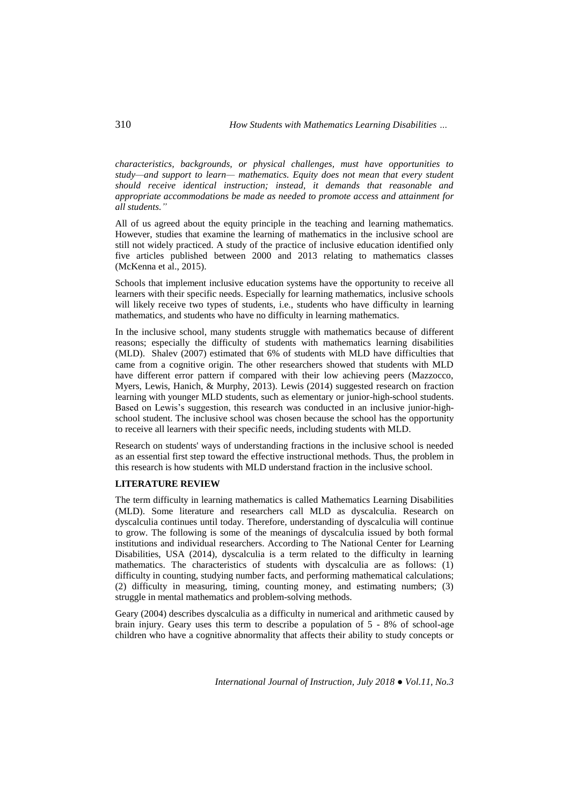*characteristics, backgrounds, or physical challenges, must have opportunities to study—and support to learn— mathematics. Equity does not mean that every student should receive identical instruction; instead, it demands that reasonable and appropriate accommodations be made as needed to promote access and attainment for all students."*

All of us agreed about the equity principle in the teaching and learning mathematics. However, studies that examine the learning of mathematics in the inclusive school are still not widely practiced. A study of the practice of inclusive education identified only five articles published between 2000 and 2013 relating to mathematics classes (McKenna et al., 2015).

Schools that implement inclusive education systems have the opportunity to receive all learners with their specific needs. Especially for learning mathematics, inclusive schools will likely receive two types of students, i.e., students who have difficulty in learning mathematics, and students who have no difficulty in learning mathematics.

In the inclusive school, many students struggle with mathematics because of different reasons; especially the difficulty of students with mathematics learning disabilities (MLD). Shalev (2007) estimated that 6% of students with MLD have difficulties that came from a cognitive origin. The other researchers showed that students with MLD have different error pattern if compared with their low achieving peers (Mazzocco, Myers, Lewis, Hanich, & Murphy, 2013). Lewis (2014) suggested research on fraction learning with younger MLD students, such as elementary or junior-high-school students. Based on Lewis's suggestion, this research was conducted in an inclusive junior-highschool student. The inclusive school was chosen because the school has the opportunity to receive all learners with their specific needs, including students with MLD.

Research on students' ways of understanding fractions in the inclusive school is needed as an essential first step toward the effective instructional methods. Thus, the problem in this research is how students with MLD understand fraction in the inclusive school.

# **LITERATURE REVIEW**

The term difficulty in learning mathematics is called Mathematics Learning Disabilities (MLD). Some literature and researchers call MLD as dyscalculia. Research on dyscalculia continues until today. Therefore, understanding of dyscalculia will continue to grow. The following is some of the meanings of dyscalculia issued by both formal institutions and individual researchers. According to The National Center for Learning Disabilities, USA (2014), dyscalculia is a term related to the difficulty in learning mathematics. The characteristics of students with dyscalculia are as follows: (1) difficulty in counting, studying number facts, and performing mathematical calculations; (2) difficulty in measuring, timing, counting money, and estimating numbers; (3) struggle in mental mathematics and problem-solving methods.

Geary (2004) describes dyscalculia as a difficulty in numerical and arithmetic caused by brain injury. Geary uses this term to describe a population of 5 - 8% of school-age children who have a cognitive abnormality that affects their ability to study concepts or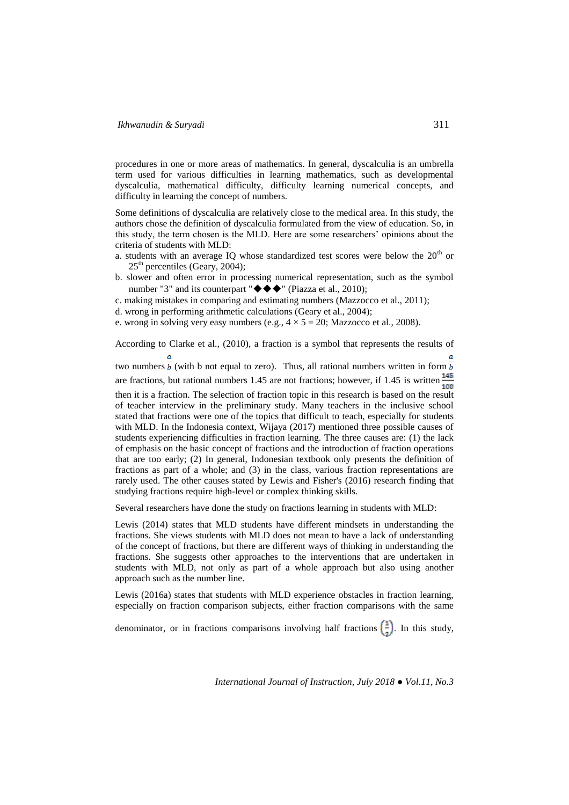procedures in one or more areas of mathematics. In general, dyscalculia is an umbrella term used for various difficulties in learning mathematics, such as developmental dyscalculia, mathematical difficulty, difficulty learning numerical concepts, and difficulty in learning the concept of numbers.

Some definitions of dyscalculia are relatively close to the medical area. In this study, the authors chose the definition of dyscalculia formulated from the view of education. So, in this study, the term chosen is the MLD. Here are some researchers' opinions about the criteria of students with MLD:

- a. students with an average IQ whose standardized test scores were below the  $20<sup>th</sup>$  or  $25<sup>th</sup>$  percentiles (Geary, 2004);
- b. slower and often error in processing numerical representation, such as the symbol number "3" and its counterpart "◆◆◆" (Piazza et al., 2010);
- c. making mistakes in comparing and estimating numbers (Mazzocco et al., 2011);
- d. wrong in performing arithmetic calculations (Geary et al., 2004);
- e. wrong in solving very easy numbers (e.g.,  $4 \times 5 = 20$ ; Mazzocco et al., 2008).

According to Clarke et al., (2010), a fraction is a symbol that represents the results of

two numbers  $\overline{b}$  (with b not equal to zero). Thus, all rational numbers written in form  $\overline{b}$ are fractions, but rational numbers 1.45 are not fractions; however, if 1.45 is written  $\frac{145}{100}$ then it is a fraction. The selection of fraction topic in this research is based on the result of teacher interview in the preliminary study. Many teachers in the inclusive school stated that fractions were one of the topics that difficult to teach, especially for students with MLD. In the Indonesia context, Wijaya (2017) mentioned three possible causes of students experiencing difficulties in fraction learning. The three causes are: (1) the lack of emphasis on the basic concept of fractions and the introduction of fraction operations that are too early; (2) In general, Indonesian textbook only presents the definition of fractions as part of a whole; and (3) in the class, various fraction representations are rarely used. The other causes stated by Lewis and Fisher's (2016) research finding that studying fractions require high-level or complex thinking skills.

Several researchers have done the study on fractions learning in students with MLD:

Lewis (2014) states that MLD students have different mindsets in understanding the fractions. She views students with MLD does not mean to have a lack of understanding of the concept of fractions, but there are different ways of thinking in understanding the fractions. She suggests other approaches to the interventions that are undertaken in students with MLD, not only as part of a whole approach but also using another approach such as the number line.

Lewis (2016a) states that students with MLD experience obstacles in fraction learning, especially on fraction comparison subjects, either fraction comparisons with the same

denominator, or in fractions comparisons involving half fractions  $\left(\frac{1}{2}\right)$ . In this study,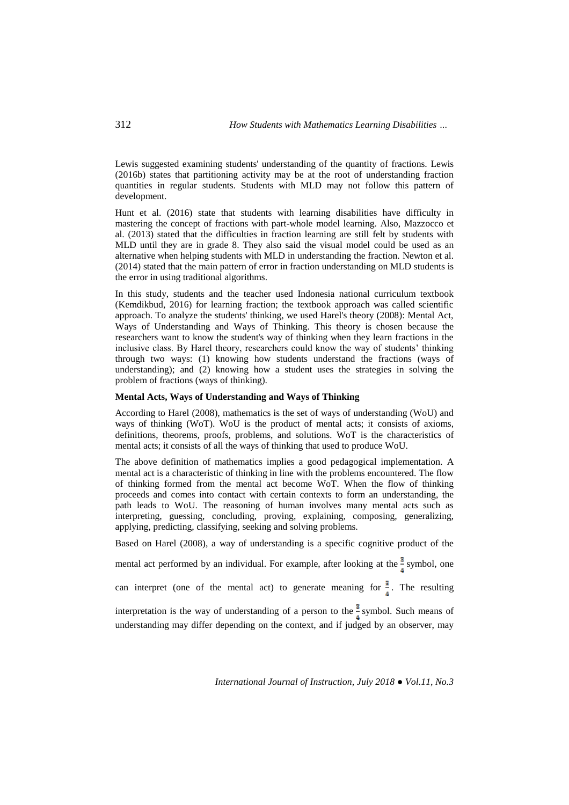Lewis suggested examining students' understanding of the quantity of fractions. Lewis (2016b) states that partitioning activity may be at the root of understanding fraction quantities in regular students. Students with MLD may not follow this pattern of development.

Hunt et al. (2016) state that students with learning disabilities have difficulty in mastering the concept of fractions with part-whole model learning. Also, Mazzocco et al. (2013) stated that the difficulties in fraction learning are still felt by students with MLD until they are in grade 8. They also said the visual model could be used as an alternative when helping students with MLD in understanding the fraction. Newton et al. (2014) stated that the main pattern of error in fraction understanding on MLD students is the error in using traditional algorithms.

In this study, students and the teacher used Indonesia national curriculum textbook (Kemdikbud, 2016) for learning fraction; the textbook approach was called scientific approach. To analyze the students' thinking, we used Harel's theory (2008): Mental Act, Ways of Understanding and Ways of Thinking. This theory is chosen because the researchers want to know the student's way of thinking when they learn fractions in the inclusive class. By Harel theory, researchers could know the way of students' thinking through two ways: (1) knowing how students understand the fractions (ways of understanding); and (2) knowing how a student uses the strategies in solving the problem of fractions (ways of thinking).

### **Mental Acts, Ways of Understanding and Ways of Thinking**

According to Harel (2008), mathematics is the set of ways of understanding (WoU) and ways of thinking (WoT). WoU is the product of mental acts; it consists of axioms, definitions, theorems, proofs, problems, and solutions*.* WoT is the characteristics of mental acts; it consists of all the ways of thinking that used to produce WoU.

The above definition of mathematics implies a good pedagogical implementation. A mental act is a characteristic of thinking in line with the problems encountered. The flow of thinking formed from the mental act become WoT. When the flow of thinking proceeds and comes into contact with certain contexts to form an understanding, the path leads to WoU. The reasoning of human involves many mental acts such as interpreting, guessing, concluding, proving, explaining, composing, generalizing, applying, predicting, classifying, seeking and solving problems.

Based on Harel (2008), a way of understanding is a specific cognitive product of the

mental act performed by an individual. For example, after looking at the  $\frac{3}{4}$  symbol, one

can interpret (one of the mental act) to generate meaning for  $\frac{a}{4}$ . The resulting

interpretation is the way of understanding of a person to the  $\frac{1}{2}$  symbol. Such means of understanding may differ depending on the context, and if judged by an observer, may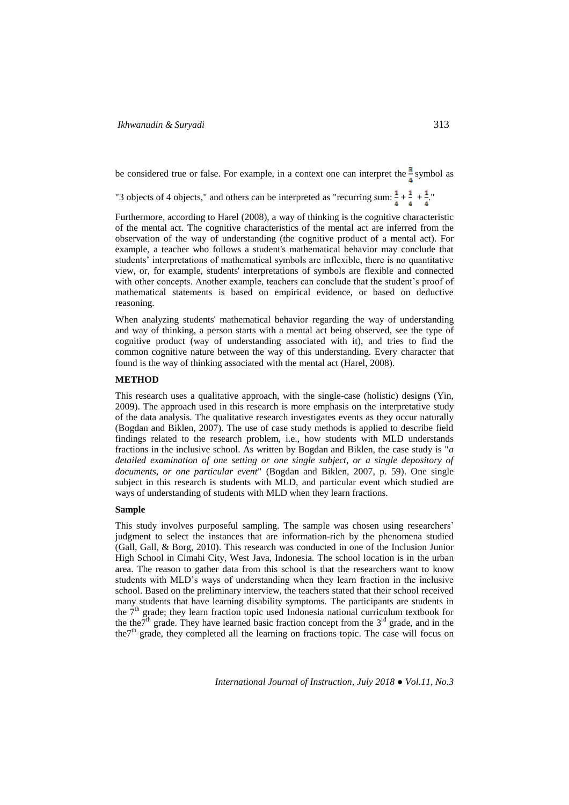be considered true or false. For example, in a context one can interpret the  $\frac{3}{4}$  symbol as

"3 objects of 4 objects," and others can be interpreted as "recurring sum:  $\frac{1}{4} + \frac{1}{4} + \frac{1}{4}$ ."

Furthermore, according to Harel (2008), a way of thinking is the cognitive characteristic of the mental act. The cognitive characteristics of the mental act are inferred from the observation of the way of understanding (the cognitive product of a mental act). For example, a teacher who follows a student's mathematical behavior may conclude that students' interpretations of mathematical symbols are inflexible, there is no quantitative view, or, for example, students' interpretations of symbols are flexible and connected with other concepts. Another example, teachers can conclude that the student's proof of mathematical statements is based on empirical evidence, or based on deductive reasoning.

When analyzing students' mathematical behavior regarding the way of understanding and way of thinking, a person starts with a mental act being observed, see the type of cognitive product (way of understanding associated with it), and tries to find the common cognitive nature between the way of this understanding. Every character that found is the way of thinking associated with the mental act (Harel, 2008).

### **METHOD**

This research uses a qualitative approach, with the single-case (holistic) designs (Yin, 2009). The approach used in this research is more emphasis on the interpretative study of the data analysis. The qualitative research investigates events as they occur naturally (Bogdan and Biklen, 2007). The use of case study methods is applied to describe field findings related to the research problem, i.e., how students with MLD understands fractions in the inclusive school. As written by Bogdan and Biklen, the case study is "*a detailed examination of one setting or one single subject, or a single depository of documents, or one particular event*" (Bogdan and Biklen, 2007, p. 59). One single subject in this research is students with MLD, and particular event which studied are ways of understanding of students with MLD when they learn fractions.

#### **Sample**

This study involves purposeful sampling. The sample was chosen using researchers' judgment to select the instances that are information-rich by the phenomena studied (Gall, Gall, & Borg, 2010). This research was conducted in one of the Inclusion Junior High School in Cimahi City, West Java, Indonesia. The school location is in the urban area. The reason to gather data from this school is that the researchers want to know students with MLD's ways of understanding when they learn fraction in the inclusive school. Based on the preliminary interview, the teachers stated that their school received many students that have learning disability symptoms. The participants are students in the  $7<sup>th</sup>$  grade; they learn fraction topic used Indonesia national curriculum textbook for the the $7<sup>th</sup>$  grade. They have learned basic fraction concept from the  $3<sup>rd</sup>$  grade, and in the the<sup>7th</sup> grade, they completed all the learning on fractions topic. The case will focus on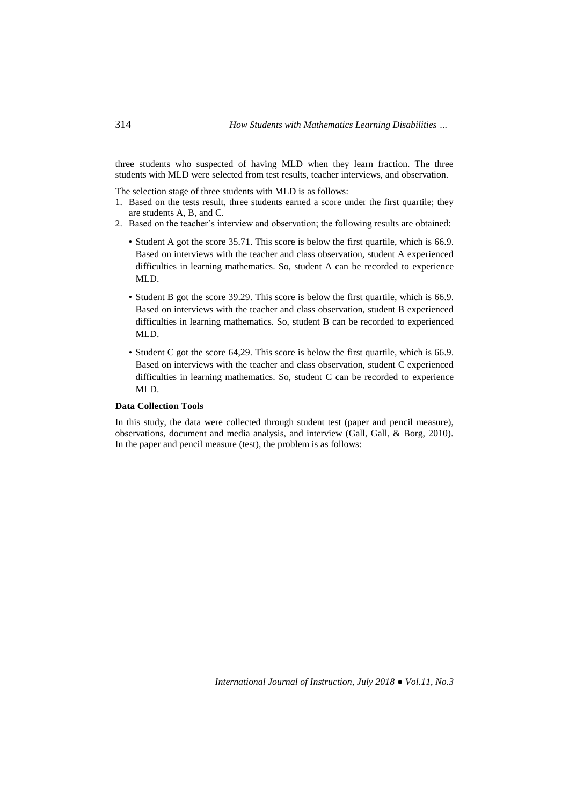three students who suspected of having MLD when they learn fraction. The three students with MLD were selected from test results, teacher interviews, and observation.

The selection stage of three students with MLD is as follows:

- 1. Based on the tests result, three students earned a score under the first quartile; they are students A, B, and C.
- 2. Based on the teacher's interview and observation; the following results are obtained:
	- Student A got the score 35.71. This score is below the first quartile, which is 66.9. Based on interviews with the teacher and class observation, student A experienced difficulties in learning mathematics. So, student A can be recorded to experience MLD.
	- Student B got the score 39.29. This score is below the first quartile, which is 66.9. Based on interviews with the teacher and class observation, student B experienced difficulties in learning mathematics. So, student B can be recorded to experienced MLD.
	- Student C got the score 64,29. This score is below the first quartile, which is 66.9. Based on interviews with the teacher and class observation, student C experienced difficulties in learning mathematics. So, student C can be recorded to experience MLD.

## **Data Collection Tools**

In this study, the data were collected through student test (paper and pencil measure), observations, document and media analysis, and interview (Gall, Gall, & Borg, 2010). In the paper and pencil measure (test), the problem is as follows: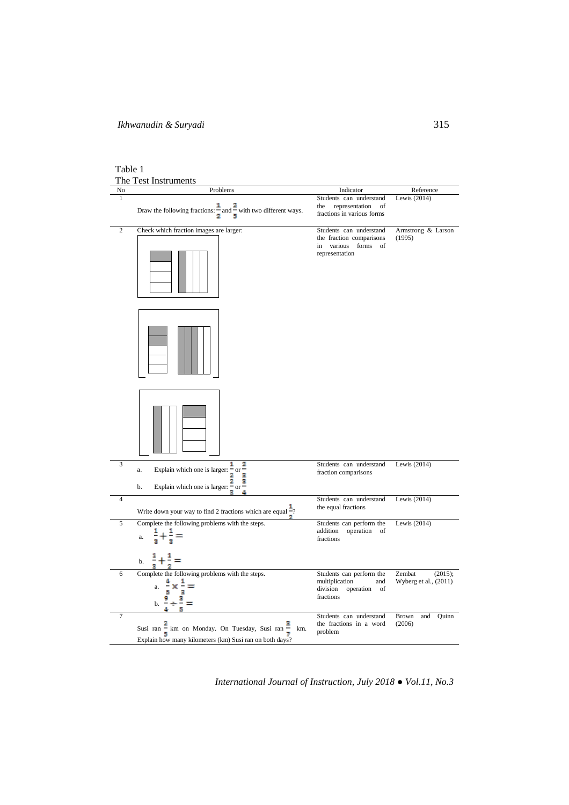Table 1

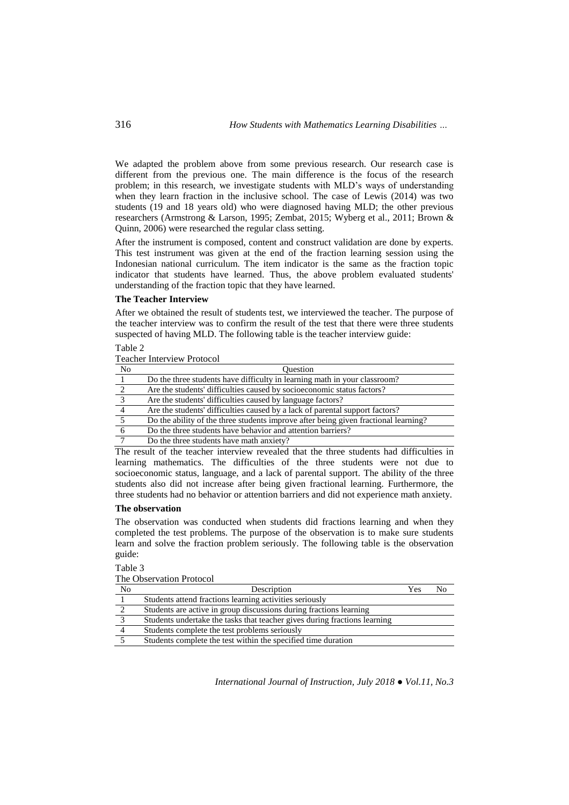We adapted the problem above from some previous research. Our research case is different from the previous one. The main difference is the focus of the research problem; in this research, we investigate students with MLD's ways of understanding when they learn fraction in the inclusive school. The case of Lewis (2014) was two students (19 and 18 years old) who were diagnosed having MLD; the other previous researchers (Armstrong & Larson, 1995; Zembat, 2015; Wyberg et al., 2011; Brown & Quinn, 2006) were researched the regular class setting.

After the instrument is composed, content and construct validation are done by experts. This test instrument was given at the end of the fraction learning session using the Indonesian national curriculum. The item indicator is the same as the fraction topic indicator that students have learned. Thus, the above problem evaluated students' understanding of the fraction topic that they have learned.

## **The Teacher Interview**

After we obtained the result of students test, we interviewed the teacher. The purpose of the teacher interview was to confirm the result of the test that there were three students suspected of having MLD. The following table is the teacher interview guide:

Table 2

Teacher Interview Protocol

| No                                                                                       | Ouestion                                                                            |  |
|------------------------------------------------------------------------------------------|-------------------------------------------------------------------------------------|--|
|                                                                                          | Do the three students have difficulty in learning math in your classroom?           |  |
|                                                                                          | Are the students' difficulties caused by socioeconomic status factors?              |  |
|                                                                                          | Are the students' difficulties caused by language factors?                          |  |
|                                                                                          | Are the students' difficulties caused by a lack of parental support factors?        |  |
|                                                                                          | Do the ability of the three students improve after being given fractional learning? |  |
| 6                                                                                        | Do the three students have behavior and attention barriers?                         |  |
|                                                                                          | Do the three students have math anxiety?                                            |  |
| The result of the teacher interview revealed that the three students had difficulties in |                                                                                     |  |

The result of the teacher interview revealed that the three students had difficulties in learning mathematics. The difficulties of the three students were not due to socioeconomic status, language, and a lack of parental support. The ability of the three students also did not increase after being given fractional learning. Furthermore, the three students had no behavior or attention barriers and did not experience math anxiety.

## **The observation**

The observation was conducted when students did fractions learning and when they completed the test problems. The purpose of the observation is to make sure students learn and solve the fraction problem seriously. The following table is the observation guide:

Table 3

The Observation Protocol

| No | Description                                                               | Yes |  |
|----|---------------------------------------------------------------------------|-----|--|
|    | Students attend fractions learning activities seriously                   |     |  |
|    | Students are active in group discussions during fractions learning        |     |  |
|    | Students undertake the tasks that teacher gives during fractions learning |     |  |
| 4  | Students complete the test problems seriously                             |     |  |
|    | Students complete the test within the specified time duration             |     |  |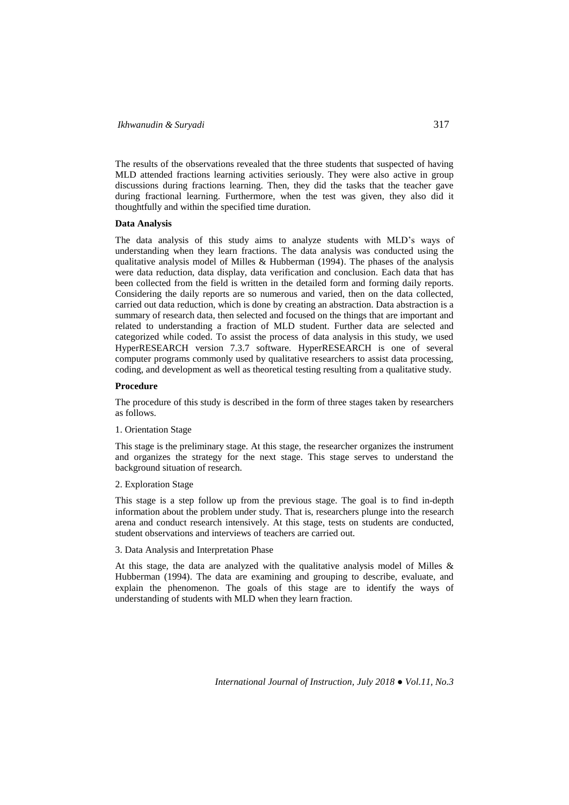The results of the observations revealed that the three students that suspected of having MLD attended fractions learning activities seriously. They were also active in group discussions during fractions learning. Then, they did the tasks that the teacher gave during fractional learning. Furthermore, when the test was given, they also did it thoughtfully and within the specified time duration.

#### **Data Analysis**

The data analysis of this study aims to analyze students with MLD's ways of understanding when they learn fractions. The data analysis was conducted using the qualitative analysis model of Milles & Hubberman (1994). The phases of the analysis were data reduction, data display, data verification and conclusion. Each data that has been collected from the field is written in the detailed form and forming daily reports. Considering the daily reports are so numerous and varied, then on the data collected, carried out data reduction, which is done by creating an abstraction. Data abstraction is a summary of research data, then selected and focused on the things that are important and related to understanding a fraction of MLD student. Further data are selected and categorized while coded. To assist the process of data analysis in this study, we used HyperRESEARCH version 7.3.7 software. HyperRESEARCH is one of several computer programs commonly used by qualitative researchers to assist data processing, coding, and development as well as theoretical testing resulting from a qualitative study.

#### **Procedure**

The procedure of this study is described in the form of three stages taken by researchers as follows.

#### 1. Orientation Stage

This stage is the preliminary stage. At this stage, the researcher organizes the instrument and organizes the strategy for the next stage. This stage serves to understand the background situation of research.

### 2. Exploration Stage

This stage is a step follow up from the previous stage. The goal is to find in-depth information about the problem under study. That is, researchers plunge into the research arena and conduct research intensively. At this stage, tests on students are conducted, student observations and interviews of teachers are carried out.

#### 3. Data Analysis and Interpretation Phase

At this stage, the data are analyzed with the qualitative analysis model of Milles  $\&$ Hubberman (1994). The data are examining and grouping to describe, evaluate, and explain the phenomenon. The goals of this stage are to identify the ways of understanding of students with MLD when they learn fraction.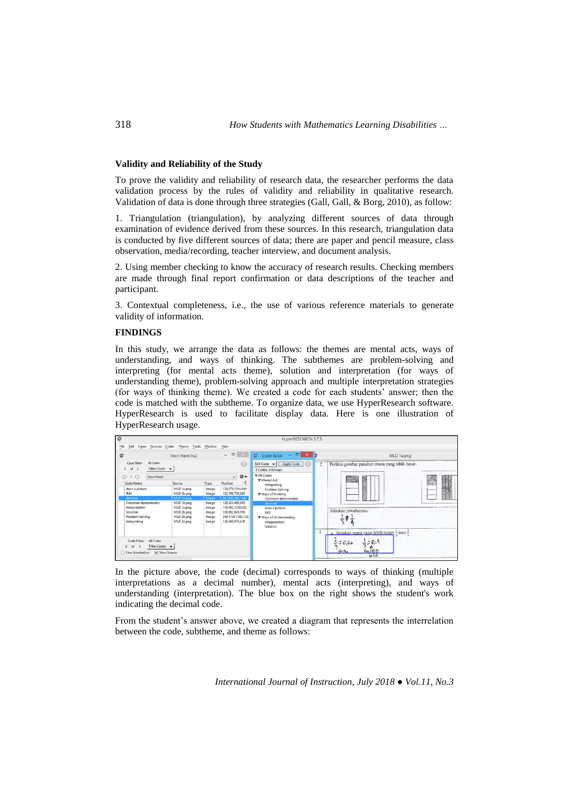### **Validity and Reliability of the Study**

To prove the validity and reliability of research data, the researcher performs the data validation process by the rules of validity and reliability in qualitative research. Validation of data is done through three strategies (Gall, Gall, & Borg, 2010), as follow:

1. Triangulation (triangulation), by analyzing different sources of data through examination of evidence derived from these sources. In this research, triangulation data is conducted by five different sources of data; there are paper and pencil measure, class observation, media/recording, teacher interview, and document analysis.

2. Using member checking to know the accuracy of research results. Checking members are made through final report confirmation or data descriptions of the teacher and participant.

3. Contextual completeness, i.e., the use of various reference materials to generate validity of information.

## **FINDINGS**

In this study, we arrange the data as follows: the themes are mental acts, ways of understanding, and ways of thinking. The subthemes are problem-solving and interpreting (for mental acts theme), solution and interpretation (for ways of understanding theme), problem-solving approach and multiple interpretation strategies (for ways of thinking theme). We created a code for each students' answer; then the code is matched with the subtheme. To organize data, we use HyperResearch software. HyperResearch is used to facilitate display data. Here is one illustration of HyperResearch usage.



In the picture above, the code (decimal) corresponds to ways of thinking (multiple interpretations as a decimal number), mental acts (interpreting), and ways of understanding (interpretation). The blue box on the right shows the student's work indicating the decimal code.

From the student's answer above, we created a diagram that represents the interrelation between the code, subtheme, and theme as follows: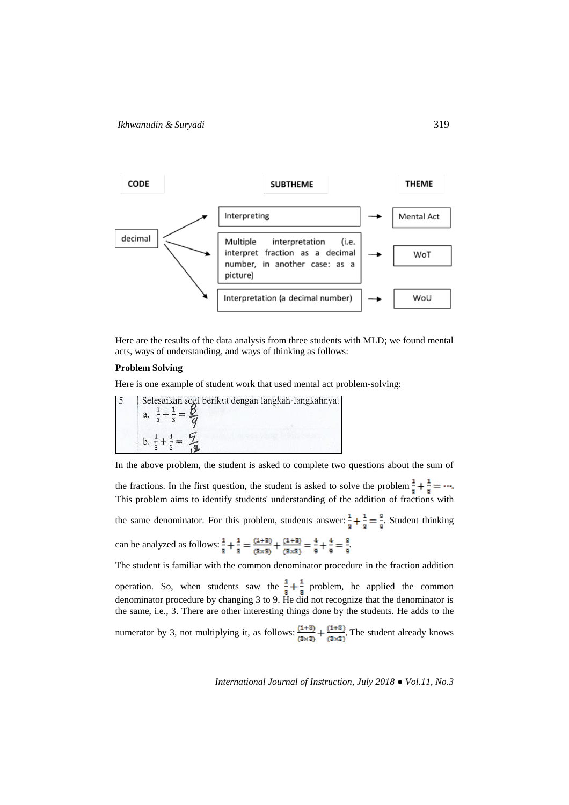

Here are the results of the data analysis from three students with MLD; we found mental acts, ways of understanding, and ways of thinking as follows:

### **Problem Solving**

Here is one example of student work that used mental act problem-solving:

Selesaikan soal berikut dengan langkah-langkahnya.<br>a.  $\frac{1}{3} + \frac{1}{3} = \frac{8}{9}$ b.  $\frac{1}{3} + \frac{1}{2} = \frac{5}{3}$ 

In the above problem, the student is asked to complete two questions about the sum of the fractions. In the first question, the student is asked to solve the problem This problem aims to identify students' understanding of the addition of fractions with the same denominator. For this problem, students answer:  $\frac{1}{3} + \frac{1}{3} = \frac{8}{9}$ . Student thinking can be analyzed as follows:  $\frac{1}{3} + \frac{1}{3} = \frac{(1+3)}{(3\times3)} + \frac{(1+3)}{(3\times3)} = \frac{4}{9} + \frac{4}{9} = \frac{8}{9}$ .

The student is familiar with the common denominator procedure in the fraction addition

operation. So, when students saw the  $\frac{1}{3} + \frac{1}{3}$  problem, he applied the common denominator procedure by changing 3 to 9. He did not recognize that the denominator is the same, i.e., 3. There are other interesting things done by the students. He adds to the

numerator by 3, not multiplying it, as follows:  $\frac{(1+3)}{(3\times3)} + \frac{(1+3)}{(3\times3)}$ . The student already knows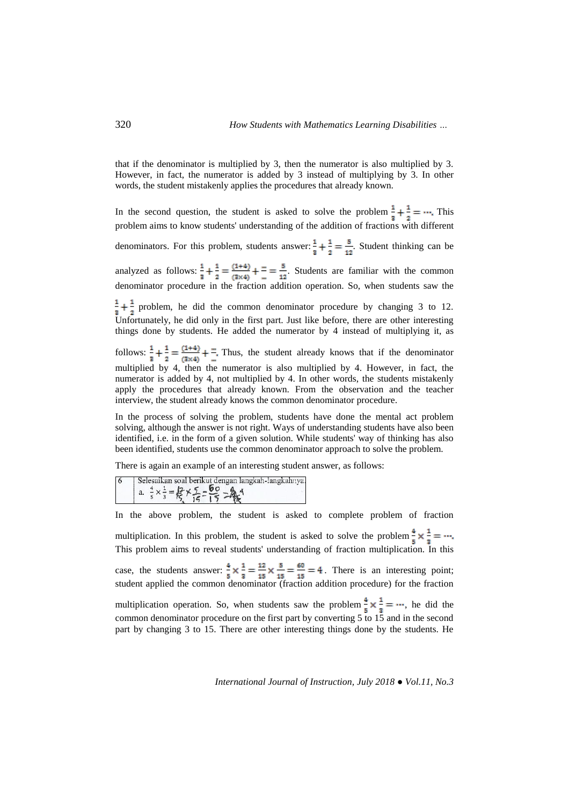that if the denominator is multiplied by 3, then the numerator is also multiplied by 3. However, in fact, the numerator is added by 3 instead of multiplying by 3. In other words, the student mistakenly applies the procedures that already known.

In the second question, the student is asked to solve the problem  $\frac{1}{3} + \frac{1}{2} = \cdots$ . This problem aims to know students' understanding of the addition of fractions with different denominators. For this problem, students answer:  $\frac{1}{3} + \frac{1}{2} = \frac{5}{12}$ . Student thinking can be

analyzed as follows:  $\frac{1}{2} + \frac{1}{2} = \frac{(1+i)}{(n+1)(1+i)} + \frac{1}{n} = \frac{1}{n}$ . Students are familiar with the common denominator procedure in the fraction addition operation. So, when students saw the

 $\frac{1}{2} + \frac{1}{2}$  problem, he did the common denominator procedure by changing 3 to 12. Unfortunately, he did only in the first part. Just like before, there are other interesting things done by students. He added the numerator by 4 instead of multiplying it, as

follows:  $\frac{1}{4} + \frac{1}{4} = \frac{1}{4000} + \frac{1000}{4000} + \frac{1000}{4000}$ . Thus, the student already knows that if the denominator multiplied by 4, then the numerator is also multiplied by 4. However, in fact, the numerator is added by 4, not multiplied by 4. In other words, the students mistakenly apply the procedures that already known. From the observation and the teacher interview, the student already knows the common denominator procedure.

In the process of solving the problem, students have done the mental act problem solving, although the answer is not right. Ways of understanding students have also been identified, i.e. in the form of a given solution. While students' way of thinking has also been identified, students use the common denominator approach to solve the problem.

There is again an example of an interesting student answer, as follows:

| Selesaikan soal berikut dengan langkah-langkahnya. |
|----------------------------------------------------|
|                                                    |

In the above problem, the student is asked to complete problem of fraction multiplication. In this problem, the student is asked to solve the problem This problem aims to reveal students' understanding of fraction multiplication. In this case, the students answer:  $\frac{1}{2} \times \frac{1}{4} = \frac{14}{14} \times \frac{1}{14} = \frac{14}{14} = 4$ . There is an interesting point; student applied the common denominator (fraction addition procedure) for the fraction multiplication operation. So, when students saw the problem  $\frac{4}{5} \times \frac{1}{2} = \cdots$ , he did the

common denominator procedure on the first part by converting 5 to 15 and in the second part by changing 3 to 15. There are other interesting things done by the students. He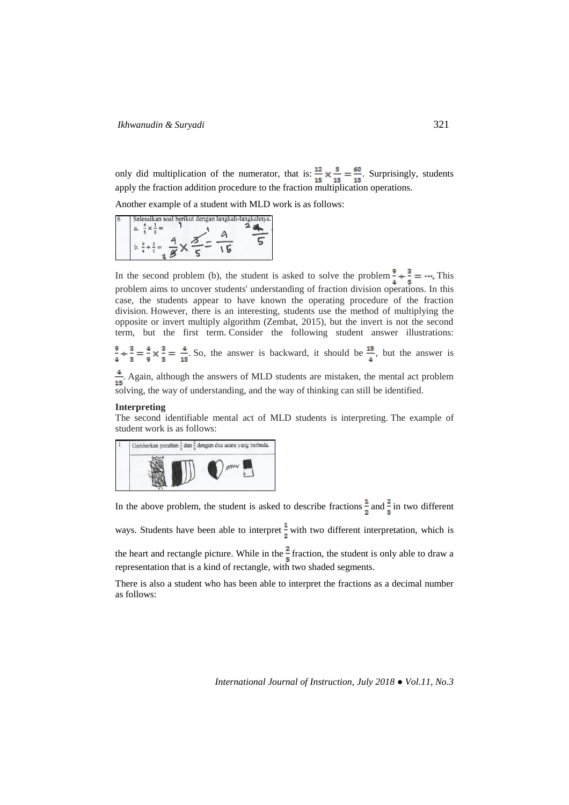only did multiplication of the numerator, that is:  $\frac{1}{\sqrt{2}} \times \frac{1}{\sqrt{2}} = \frac{1}{\sqrt{2}}$ . Surprisingly, students apply the fraction addition procedure to the fraction multiplication operations.

Another example of a student with MLD work is as follows:

|  | Selesaikan soal berikut dengan langkah-langkahnya. |  |
|--|----------------------------------------------------|--|
|  |                                                    |  |
|  |                                                    |  |

In the second problem (b), the student is asked to solve the problem  $\frac{9}{4} \div \frac{3}{5} = \cdots$ . This problem aims to uncover students' understanding of fraction division operations. In this case, the students appear to have known the operating procedure of the fraction division. However, there is an interesting, students use the method of multiplying the opposite or invert multiply algorithm (Zembat, 2015), but the invert is not the second term, but the first term. Consider the following student answer illustrations:

 $\frac{9}{4} \div \frac{3}{5} = \frac{4}{9} \times \frac{3}{5} = \frac{4}{15}$ . So, the answer is backward, it should be  $\frac{15}{4}$ , but the answer is

 $\frac{4}{15}$ . Again, although the answers of MLD students are mistaken, the mental act problem solving, the way of understanding, and the way of thinking can still be identified.

#### **Interpreting**

The second identifiable mental act of MLD students is interpreting. The example of student work is as follows:



In the above problem, the student is asked to describe fractions  $\frac{1}{2}$  and  $\frac{2}{5}$  in two different

ways. Students have been able to interpret  $\frac{1}{2}$  with two different interpretation, which is

the heart and rectangle picture. While in the  $\frac{2}{5}$  fraction, the student is only able to draw a representation that is a kind of rectangle, with two shaded segments.

There is also a student who has been able to interpret the fractions as a decimal number as follows: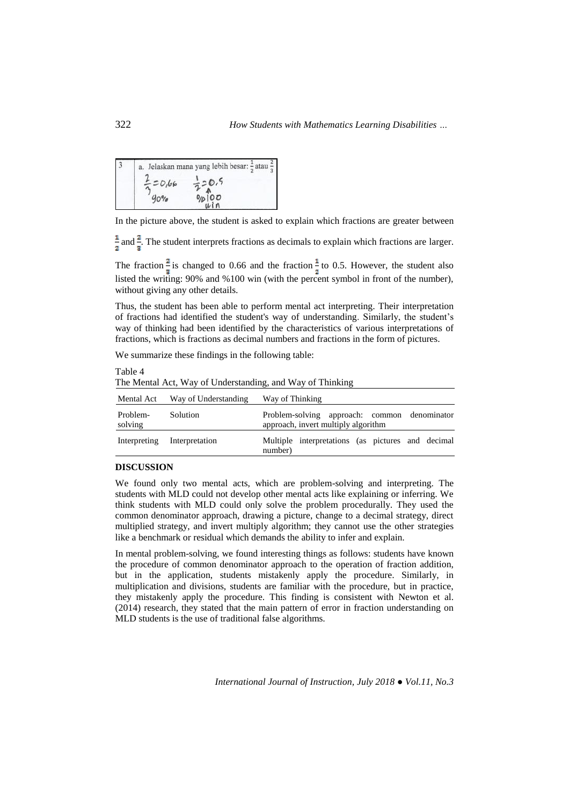

In the picture above, the student is asked to explain which fractions are greater between

 $\frac{1}{2}$  and  $\frac{2}{3}$ . The student interprets fractions as decimals to explain which fractions are larger.

The fraction  $\frac{2}{3}$  is changed to 0.66 and the fraction  $\frac{1}{2}$  to 0.5. However, the student also listed the writing: 90% and %100 win (with the percent symbol in front of the number), without giving any other details.

Thus, the student has been able to perform mental act interpreting. Their interpretation of fractions had identified the student's way of understanding. Similarly, the student's way of thinking had been identified by the characteristics of various interpretations of fractions, which is fractions as decimal numbers and fractions in the form of pictures.

We summarize these findings in the following table:

Table 4 The Mental Act, Way of Understanding, and Way of Thinking

| Mental Act          | Way of Understanding | Way of Thinking                                                                     |
|---------------------|----------------------|-------------------------------------------------------------------------------------|
| Problem-<br>solving | Solution             | Problem-solving approach: common denominator<br>approach, invert multiply algorithm |
| Interpreting        | Interpretation       | Multiple interpretations (as pictures and decimal<br>number)                        |

# **DISCUSSION**

We found only two mental acts, which are problem-solving and interpreting. The students with MLD could not develop other mental acts like explaining or inferring. We think students with MLD could only solve the problem procedurally. They used the common denominator approach, drawing a picture, change to a decimal strategy, direct multiplied strategy, and invert multiply algorithm; they cannot use the other strategies like a benchmark or residual which demands the ability to infer and explain.

In mental problem-solving, we found interesting things as follows: students have known the procedure of common denominator approach to the operation of fraction addition, but in the application, students mistakenly apply the procedure. Similarly, in multiplication and divisions, students are familiar with the procedure, but in practice, they mistakenly apply the procedure. This finding is consistent with Newton et al. (2014) research, they stated that the main pattern of error in fraction understanding on MLD students is the use of traditional false algorithms.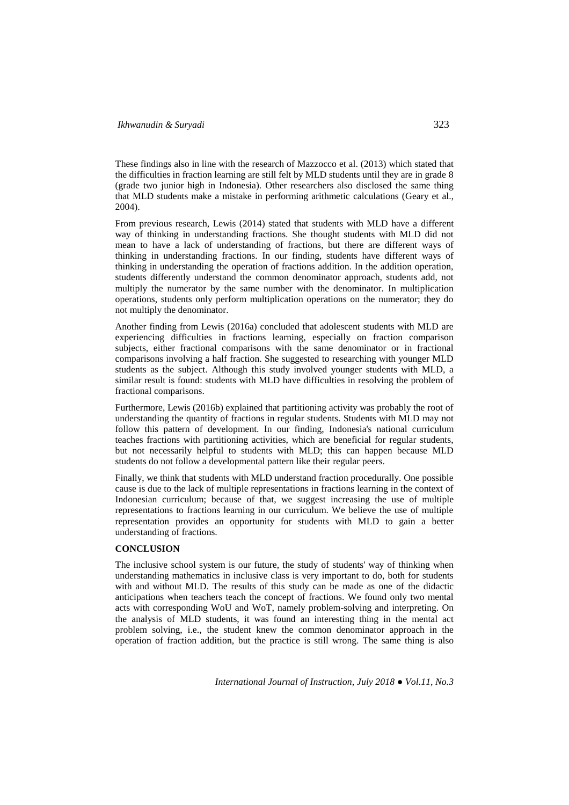These findings also in line with the research of Mazzocco et al. (2013) which stated that the difficulties in fraction learning are still felt by MLD students until they are in grade 8 (grade two junior high in Indonesia). Other researchers also disclosed the same thing that MLD students make a mistake in performing arithmetic calculations (Geary et al., 2004).

From previous research, Lewis (2014) stated that students with MLD have a different way of thinking in understanding fractions. She thought students with MLD did not mean to have a lack of understanding of fractions, but there are different ways of thinking in understanding fractions. In our finding, students have different ways of thinking in understanding the operation of fractions addition. In the addition operation, students differently understand the common denominator approach, students add, not multiply the numerator by the same number with the denominator. In multiplication operations, students only perform multiplication operations on the numerator; they do not multiply the denominator.

Another finding from Lewis (2016a) concluded that adolescent students with MLD are experiencing difficulties in fractions learning, especially on fraction comparison subjects, either fractional comparisons with the same denominator or in fractional comparisons involving a half fraction. She suggested to researching with younger MLD students as the subject. Although this study involved younger students with MLD, a similar result is found: students with MLD have difficulties in resolving the problem of fractional comparisons.

Furthermore, Lewis (2016b) explained that partitioning activity was probably the root of understanding the quantity of fractions in regular students. Students with MLD may not follow this pattern of development. In our finding, Indonesia's national curriculum teaches fractions with partitioning activities, which are beneficial for regular students, but not necessarily helpful to students with MLD; this can happen because MLD students do not follow a developmental pattern like their regular peers.

Finally, we think that students with MLD understand fraction procedurally. One possible cause is due to the lack of multiple representations in fractions learning in the context of Indonesian curriculum; because of that, we suggest increasing the use of multiple representations to fractions learning in our curriculum. We believe the use of multiple representation provides an opportunity for students with MLD to gain a better understanding of fractions.

# **CONCLUSION**

The inclusive school system is our future, the study of students' way of thinking when understanding mathematics in inclusive class is very important to do, both for students with and without MLD. The results of this study can be made as one of the didactic anticipations when teachers teach the concept of fractions. We found only two mental acts with corresponding WoU and WoT, namely problem-solving and interpreting. On the analysis of MLD students, it was found an interesting thing in the mental act problem solving, i.e., the student knew the common denominator approach in the operation of fraction addition, but the practice is still wrong. The same thing is also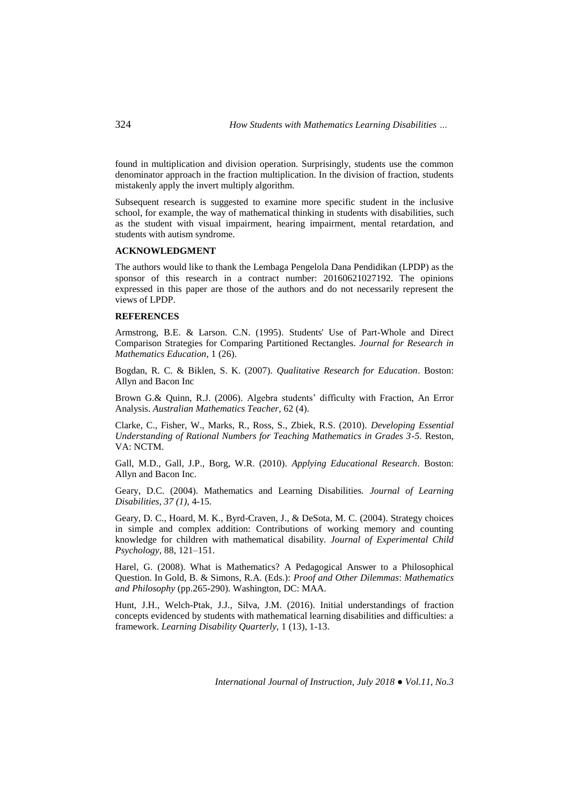found in multiplication and division operation. Surprisingly, students use the common denominator approach in the fraction multiplication. In the division of fraction, students mistakenly apply the invert multiply algorithm.

Subsequent research is suggested to examine more specific student in the inclusive school, for example, the way of mathematical thinking in students with disabilities, such as the student with visual impairment, hearing impairment, mental retardation, and students with autism syndrome.

# **ACKNOWLEDGMENT**

The authors would like to thank the Lembaga Pengelola Dana Pendidikan (LPDP) as the sponsor of this research in a contract number: 20160621027192. The opinions expressed in this paper are those of the authors and do not necessarily represent the views of LPDP.

#### **REFERENCES**

Armstrong, B.E. & Larson. C.N. (1995). Students' Use of Part-Whole and Direct Comparison Strategies for Comparing Partitioned Rectangles. *Journal for Research in Mathematics Education*, 1 (26).

Bogdan, R. C. & Biklen, S. K. (2007). *Qualitative Research for Education*. Boston: Allyn and Bacon Inc

Brown G.& Quinn, R.J. (2006). Algebra students' difficulty with Fraction, An Error Analysis. *Australian Mathematics Teacher,* 62 (4).

Clarke, C., Fisher, W., Marks, R., Ross, S., Zbiek, R.S. (2010). *Developing Essential Understanding of Rational Numbers for Teaching Mathematics in Grades 3-5*. Reston, VA: NCTM.

Gall, M.D., Gall, J.P., Borg, W.R. (2010). *Applying Educational Research*. Boston: Allyn and Bacon Inc.

Geary, D.C. (2004). Mathematics and Learning Disabilities. *Journal of Learning Disabilities, 37 (1),* 4-15*.*

Geary, D. C., Hoard, M. K., Byrd-Craven, J., & DeSota, M. C. (2004). Strategy choices in simple and complex addition: Contributions of working memory and counting knowledge for children with mathematical disability. *Journal of Experimental Child Psychology*, 88, 121–151.

Harel, G. (2008). What is Mathematics? A Pedagogical Answer to a Philosophical Question. In Gold, B. & Simons, R.A. (Eds.): *Proof and Other Dilemmas*: *Mathematics and Philosophy* (pp.265-290). Washington, DC: MAA.

Hunt, J.H., Welch-Ptak, J.J., Silva, J.M. (2016). Initial understandings of fraction concepts evidenced by students with mathematical learning disabilities and difficulties: a framework. *Learning Disability Quarterly,* 1 (13), 1-13.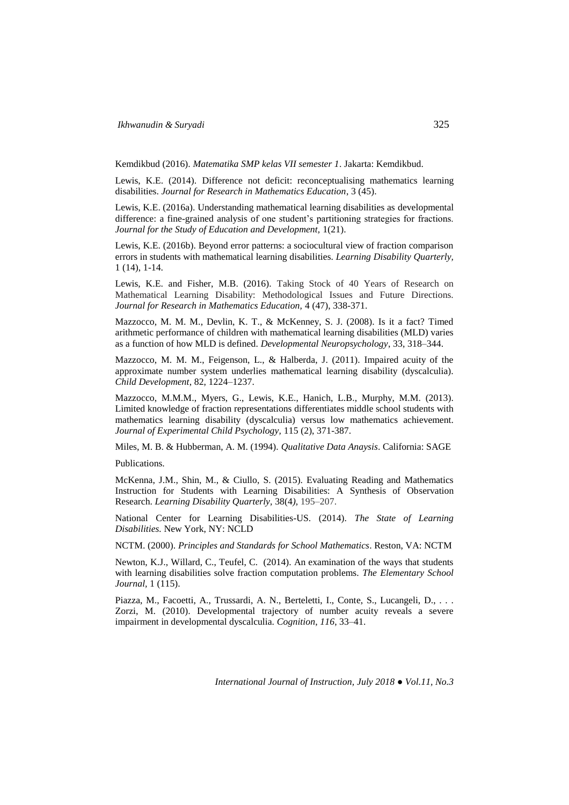Kemdikbud (2016). *Matematika SMP kelas VII semester 1*. Jakarta: Kemdikbud.

Lewis, K.E. (2014). Difference not deficit: reconceptualising mathematics learning disabilities. *Journal for Research in Mathematics Education*, 3 (45).

Lewis, K.E. (2016a). Understanding mathematical learning disabilities as developmental difference: a fine-grained analysis of one student's partitioning strategies for fractions. *Journal for the Study of Education and Development,* 1(21).

Lewis, K.E. (2016b). Beyond error patterns: a sociocultural view of fraction comparison errors in students with mathematical learning disabilities. *Learning Disability Quarterly,*  1 (14), 1-14.

Lewis, K.E. and Fisher, M.B. (2016). Taking Stock of 40 Years of Research on Mathematical Learning Disability: Methodological Issues and Future Directions. *Journal for Research in Mathematics Education,* 4 (47), 338-371.

Mazzocco, M. M. M., Devlin, K. T., & McKenney, S. J. (2008). Is it a fact? Timed arithmetic performance of children with mathematical learning disabilities (MLD) varies as a function of how MLD is defined. *Developmental Neuropsychology*, 33, 318–344.

Mazzocco, M. M. M., Feigenson, L., & Halberda, J. (2011). Impaired acuity of the approximate number system underlies mathematical learning disability (dyscalculia). *Child Development*, 82, 1224–1237.

Mazzocco, M.M.M., Myers, G., Lewis, K.E., Hanich, L.B., Murphy, M.M. (2013). Limited knowledge of fraction representations differentiates middle school students with mathematics learning disability (dyscalculia) versus low mathematics achievement. *Journal of Experimental Child Psychology,* 115 (2), 371-387.

Miles, M. B. & Hubberman, A. M. (1994). *Qualitative Data Anaysis*. California: SAGE

Publications.

McKenna, J.M., Shin, M., & Ciullo, S. (2015). Evaluating Reading and Mathematics Instruction for Students with Learning Disabilities: A Synthesis of Observation Research. *Learning Disability Quarterly,* 38(4*),* 195–207.

National Center for Learning Disabilities-US. (2014). *The State of Learning Disabilities.* New York, NY: NCLD

NCTM. (2000). *Principles and Standards for School Mathematics*. Reston, VA: NCTM

Newton, K.J., Willard, C., Teufel, C. (2014). An examination of the ways that students with learning disabilities solve fraction computation problems. *The Elementary School Journal,* 1 (115).

Piazza, M., Facoetti, A., Trussardi, A. N., Berteletti, I., Conte, S., Lucangeli, D., . . . Zorzi, M. (2010). Developmental trajectory of number acuity reveals a severe impairment in developmental dyscalculia. *Cognition*, *116*, 33–41.